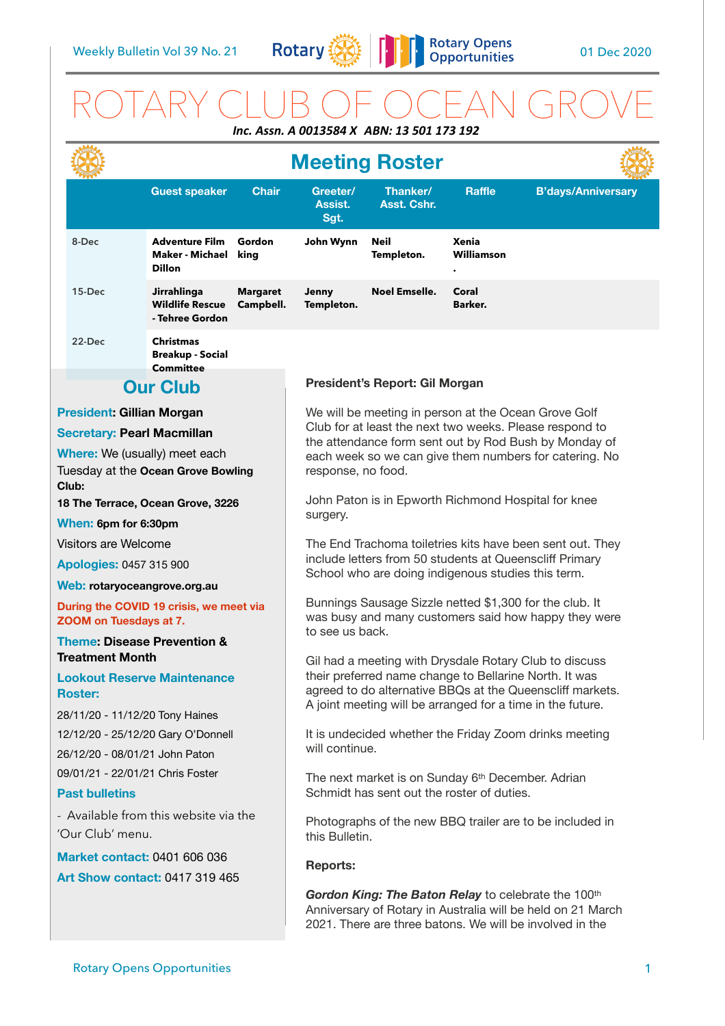

## ROTARY CLUB OF OCEAN GROVE *Inc. Assn. A 0013584 X ABN: 13 501 173 192*

|                                                                              |                                  |                                                                 |                                                                                                                                                                                | <b>Meeting Roster</b>                                                                                                                                                                                                                       |                           |                     |                           |
|------------------------------------------------------------------------------|----------------------------------|-----------------------------------------------------------------|--------------------------------------------------------------------------------------------------------------------------------------------------------------------------------|---------------------------------------------------------------------------------------------------------------------------------------------------------------------------------------------------------------------------------------------|---------------------------|---------------------|---------------------------|
|                                                                              |                                  | <b>Guest speaker</b>                                            | <b>Chair</b>                                                                                                                                                                   | Greeter/<br>Assist.<br>Sgt.                                                                                                                                                                                                                 | Thanker/<br>Asst. Cshr.   | <b>Raffle</b>       | <b>B'days/Anniversary</b> |
|                                                                              | 8-Dec                            | <b>Adventure Film</b><br>Maker - Michael<br><b>Dillon</b>       | Gordon<br>king                                                                                                                                                                 | John Wynn                                                                                                                                                                                                                                   | <b>Neil</b><br>Templeton. | Xenia<br>Williamson |                           |
|                                                                              | 15-Dec                           | <b>Jirrahlinga</b><br><b>Wildlife Rescue</b><br>- Tehree Gordon | <b>Margaret</b><br>Campbell.                                                                                                                                                   | Jenny<br>Templeton.                                                                                                                                                                                                                         | <b>Noel Emselle.</b>      | Coral<br>Barker.    |                           |
|                                                                              | 22-Dec                           | <b>Christmas</b><br><b>Breakup - Social</b><br><b>Committee</b> |                                                                                                                                                                                |                                                                                                                                                                                                                                             |                           |                     |                           |
| <b>Our Club</b>                                                              |                                  |                                                                 |                                                                                                                                                                                | President's Report: Gil Morgan                                                                                                                                                                                                              |                           |                     |                           |
|                                                                              | <b>President: Gillian Morgan</b> |                                                                 |                                                                                                                                                                                | We will be meeting in person at the Ocean Grove Golf                                                                                                                                                                                        |                           |                     |                           |
| <b>Secretary: Pearl Macmillan</b>                                            |                                  |                                                                 |                                                                                                                                                                                | Club for at least the next two weeks. Please respond to<br>the attendance form sent out by Rod Bush by Monday of<br>each week so we can give them numbers for catering. No<br>response, no food.                                            |                           |                     |                           |
| <b>Where:</b> We (usually) meet each                                         |                                  |                                                                 |                                                                                                                                                                                |                                                                                                                                                                                                                                             |                           |                     |                           |
| Tuesday at the Ocean Grove Bowling<br>Club:                                  |                                  |                                                                 |                                                                                                                                                                                |                                                                                                                                                                                                                                             |                           |                     |                           |
| 18 The Terrace, Ocean Grove, 3226                                            |                                  |                                                                 |                                                                                                                                                                                | John Paton is in Epworth Richmond Hospital for knee<br>surgery.                                                                                                                                                                             |                           |                     |                           |
| When: 6pm for 6:30pm                                                         |                                  |                                                                 |                                                                                                                                                                                |                                                                                                                                                                                                                                             |                           |                     |                           |
| Visitors are Welcome                                                         |                                  |                                                                 |                                                                                                                                                                                | The End Trachoma toiletries kits have been sent out. They                                                                                                                                                                                   |                           |                     |                           |
| <b>Apologies: 0457 315 900</b>                                               |                                  |                                                                 |                                                                                                                                                                                | include letters from 50 students at Queenscliff Primary<br>School who are doing indigenous studies this term.                                                                                                                               |                           |                     |                           |
| Web: rotaryoceangrove.org.au                                                 |                                  |                                                                 |                                                                                                                                                                                |                                                                                                                                                                                                                                             |                           |                     |                           |
| During the COVID 19 crisis, we meet via<br>ZOOM on Tuesdays at 7.            |                                  |                                                                 | Bunnings Sausage Sizzle netted \$1,300 for the club. It<br>was busy and many customers said how happy they were<br>to see us back.                                             |                                                                                                                                                                                                                                             |                           |                     |                           |
| <b>Theme: Disease Prevention &amp;</b>                                       |                                  |                                                                 |                                                                                                                                                                                |                                                                                                                                                                                                                                             |                           |                     |                           |
| <b>Treatment Month</b>                                                       |                                  |                                                                 |                                                                                                                                                                                | Gil had a meeting with Drysdale Rotary Club to discuss<br>their preferred name change to Bellarine North. It was<br>agreed to do alternative BBQs at the Queenscliff markets.<br>A joint meeting will be arranged for a time in the future. |                           |                     |                           |
| <b>Lookout Reserve Maintenance</b><br><b>Roster:</b>                         |                                  |                                                                 |                                                                                                                                                                                |                                                                                                                                                                                                                                             |                           |                     |                           |
| 28/11/20 - 11/12/20 Tony Haines                                              |                                  |                                                                 |                                                                                                                                                                                |                                                                                                                                                                                                                                             |                           |                     |                           |
| 12/12/20 - 25/12/20 Gary O'Donnell                                           |                                  |                                                                 |                                                                                                                                                                                | It is undecided whether the Friday Zoom drinks meeting<br>will continue.                                                                                                                                                                    |                           |                     |                           |
| 26/12/20 - 08/01/21 John Paton                                               |                                  |                                                                 |                                                                                                                                                                                |                                                                                                                                                                                                                                             |                           |                     |                           |
| 09/01/21 - 22/01/21 Chris Foster<br><b>Past bulletins</b>                    |                                  |                                                                 | The next market is on Sunday 6th December. Adrian<br>Schmidt has sent out the roster of duties.                                                                                |                                                                                                                                                                                                                                             |                           |                     |                           |
| - Available from this website via the<br>'Our Club' menu.                    |                                  |                                                                 | Photographs of the new BBQ trailer are to be included in<br>this Bulletin.                                                                                                     |                                                                                                                                                                                                                                             |                           |                     |                           |
| <b>Market contact: 0401 606 036</b><br><b>Art Show contact: 0417 319 465</b> |                                  |                                                                 |                                                                                                                                                                                | <b>Reports:</b>                                                                                                                                                                                                                             |                           |                     |                           |
|                                                                              |                                  |                                                                 | Gordon King: The Baton Relay to celebrate the 100th<br>Anniversary of Rotary in Australia will be held on 21 March<br>2021. There are three batons. We will be involved in the |                                                                                                                                                                                                                                             |                           |                     |                           |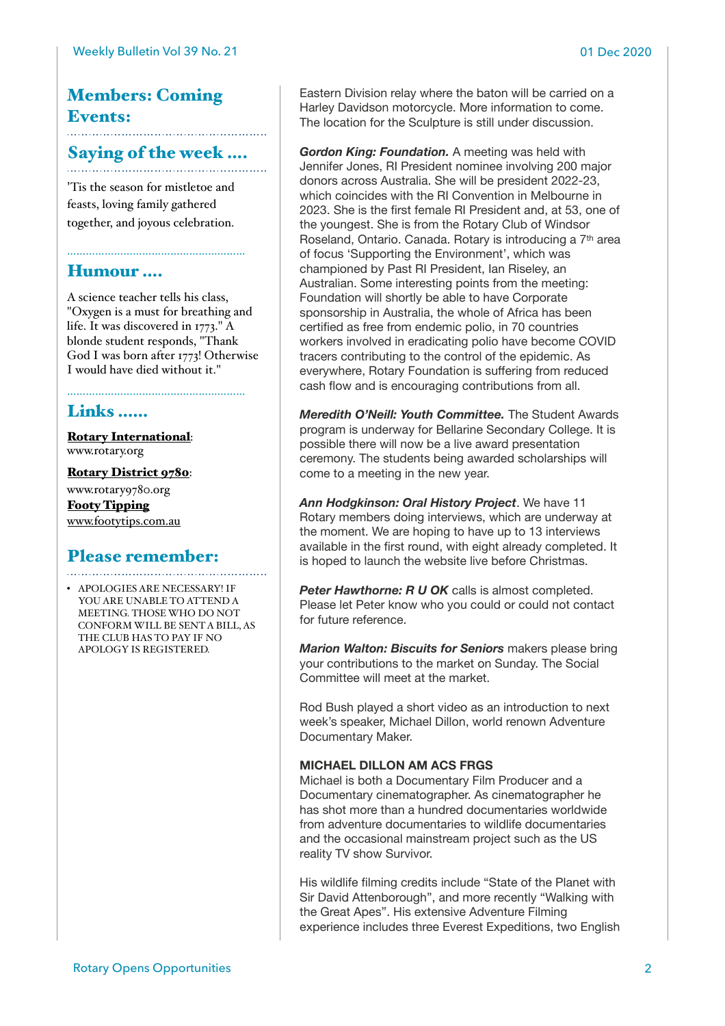## Members: Coming Events:

# Saying of the week ....

'Tis the season for mistletoe and feasts, loving family gathered together, and joyous celebration.

…………………………………………………

## Humour ….

A science teacher tells his class, "Oxygen is a must for breathing and life. It was discovered in 1773." A blonde student responds, "Thank God I was born after 1773! Otherwise I would have died without it."

## Links ……

[Rotary International](https://www.rotary.org): [www.rotary.org](http://www.rotary.org)

[Rotary District 9780](http://rotary9780.org):

[www.rotary9780.org](http://www.rotary9780.org) [Footy Tipping](http://www.footytips.com.au) [www.footytips.com.au](http://www.footytips.com.au)

# Please remember:

• APOLOGIES ARE NECESSARY! IF YOU ARE UNABLE TO ATTEND A MEETING. THOSE WHO DO NOT CONFORM WILL BE SENT A BILL, AS THE CLUB HAS TO PAY IF NO APOLOGY IS REGISTERED.

Eastern Division relay where the baton will be carried on a Harley Davidson motorcycle. More information to come. The location for the Sculpture is still under discussion.

*Gordon King: Foundation.* A meeting was held with Jennifer Jones, RI President nominee involving 200 major donors across Australia. She will be president 2022-23, which coincides with the RI Convention in Melbourne in 2023. She is the first female RI President and, at 53, one of the youngest. She is from the Rotary Club of Windsor Roseland, Ontario. Canada. Rotary is introducing a 7th area of focus 'Supporting the Environment', which was championed by Past RI President, Ian Riseley, an Australian. Some interesting points from the meeting: Foundation will shortly be able to have Corporate sponsorship in Australia, the whole of Africa has been certified as free from endemic polio, in 70 countries workers involved in eradicating polio have become COVID tracers contributing to the control of the epidemic. As everywhere, Rotary Foundation is suffering from reduced cash flow and is encouraging contributions from all.

*Meredith O'Neill: Youth Committee.* The Student Awards program is underway for Bellarine Secondary College. It is possible there will now be a live award presentation ceremony. The students being awarded scholarships will come to a meeting in the new year.

*Ann Hodgkinson: Oral History Project*. We have 11 Rotary members doing interviews, which are underway at the moment. We are hoping to have up to 13 interviews available in the first round, with eight already completed. It is hoped to launch the website live before Christmas.

**Peter Hawthorne: R U OK** calls is almost completed. Please let Peter know who you could or could not contact for future reference.

*Marion Walton: Biscuits for Seniors* makers please bring your contributions to the market on Sunday. The Social Committee will meet at the market.

Rod Bush played a short video as an introduction to next week's speaker, Michael Dillon, world renown Adventure Documentary Maker.

#### **MICHAEL DILLON AM ACS FRGS**

Michael is both a Documentary Film Producer and a Documentary cinematographer. As cinematographer he has shot more than a hundred documentaries worldwide from adventure documentaries to wildlife documentaries and the occasional mainstream project such as the US reality TV show Survivor.

His wildlife filming credits include "State of the Planet with Sir David Attenborough", and more recently "Walking with the Great Apes". His extensive Adventure Filming experience includes three Everest Expeditions, two English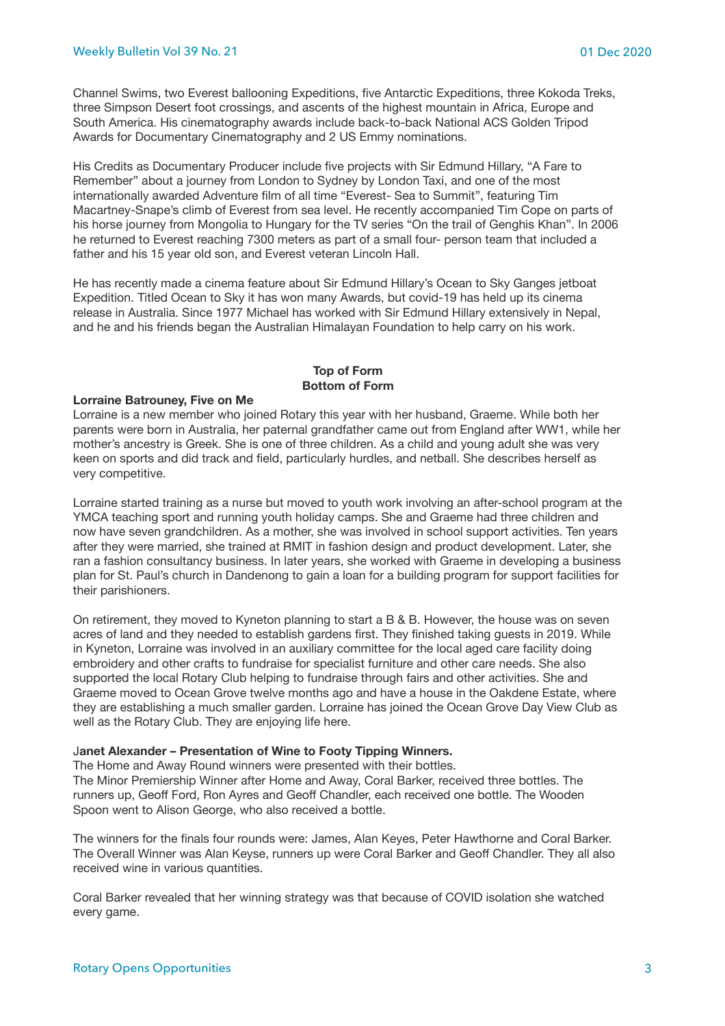Channel Swims, two Everest ballooning Expeditions, five Antarctic Expeditions, three Kokoda Treks, three Simpson Desert foot crossings, and ascents of the highest mountain in Africa, Europe and South America. His cinematography awards include back-to-back National ACS Golden Tripod Awards for Documentary Cinematography and 2 US Emmy nominations.

His Credits as Documentary Producer include five projects with Sir Edmund Hillary, "A Fare to Remember" about a journey from London to Sydney by London Taxi, and one of the most internationally awarded Adventure film of all time "Everest- Sea to Summit", featuring Tim Macartney-Snape's climb of Everest from sea level. He recently accompanied Tim Cope on parts of his horse journey from Mongolia to Hungary for the TV series "On the trail of Genghis Khan". In 2006 he returned to Everest reaching 7300 meters as part of a small four- person team that included a father and his 15 year old son, and Everest veteran Lincoln Hall.

He has recently made a cinema feature about Sir Edmund Hillary's Ocean to Sky Ganges jetboat Expedition. Titled Ocean to Sky it has won many Awards, but covid-19 has held up its cinema release in Australia. Since 1977 Michael has worked with Sir Edmund Hillary extensively in Nepal, and he and his friends began the Australian Himalayan Foundation to help carry on his work.

#### **Top of Form Bottom of Form**

#### **Lorraine Batrouney, Five on Me**

Lorraine is a new member who joined Rotary this year with her husband, Graeme. While both her parents were born in Australia, her paternal grandfather came out from England after WW1, while her mother's ancestry is Greek. She is one of three children. As a child and young adult she was very keen on sports and did track and field, particularly hurdles, and netball. She describes herself as very competitive.

Lorraine started training as a nurse but moved to youth work involving an after-school program at the YMCA teaching sport and running youth holiday camps. She and Graeme had three children and now have seven grandchildren. As a mother, she was involved in school support activities. Ten years after they were married, she trained at RMIT in fashion design and product development. Later, she ran a fashion consultancy business. In later years, she worked with Graeme in developing a business plan for St. Paul's church in Dandenong to gain a loan for a building program for support facilities for their parishioners.

On retirement, they moved to Kyneton planning to start a B & B. However, the house was on seven acres of land and they needed to establish gardens first. They finished taking guests in 2019. While in Kyneton, Lorraine was involved in an auxiliary committee for the local aged care facility doing embroidery and other crafts to fundraise for specialist furniture and other care needs. She also supported the local Rotary Club helping to fundraise through fairs and other activities. She and Graeme moved to Ocean Grove twelve months ago and have a house in the Oakdene Estate, where they are establishing a much smaller garden. Lorraine has joined the Ocean Grove Day View Club as well as the Rotary Club. They are enjoying life here.

#### J**anet Alexander – Presentation of Wine to Footy Tipping Winners.**

The Home and Away Round winners were presented with their bottles. The Minor Premiership Winner after Home and Away, Coral Barker, received three bottles. The runners up, Geoff Ford, Ron Ayres and Geoff Chandler, each received one bottle. The Wooden Spoon went to Alison George, who also received a bottle.

The winners for the finals four rounds were: James, Alan Keyes, Peter Hawthorne and Coral Barker. The Overall Winner was Alan Keyse, runners up were Coral Barker and Geoff Chandler. They all also received wine in various quantities.

Coral Barker revealed that her winning strategy was that because of COVID isolation she watched every game.